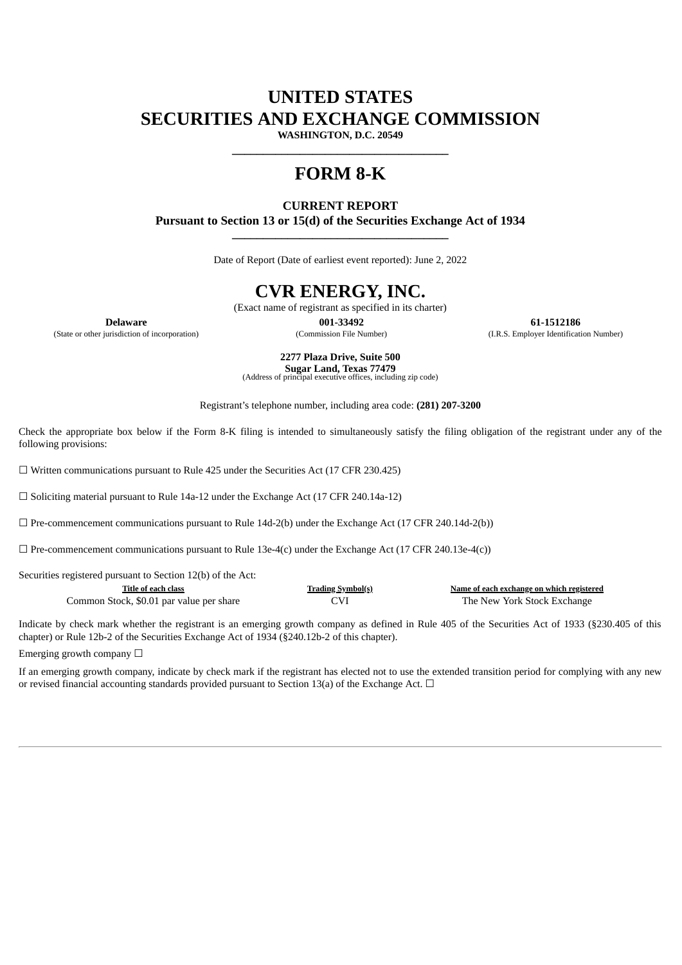# **UNITED STATES SECURITIES AND EXCHANGE COMMISSION**

**WASHINGTON, D.C. 20549 \_\_\_\_\_\_\_\_\_\_\_\_\_\_\_\_\_\_\_\_\_\_\_\_\_\_\_\_\_\_\_\_\_\_\_**

# **FORM 8-K**

## **CURRENT REPORT**

**Pursuant to Section 13 or 15(d) of the Securities Exchange Act of 1934 \_\_\_\_\_\_\_\_\_\_\_\_\_\_\_\_\_\_\_\_\_\_\_\_\_\_\_\_\_\_\_\_\_\_\_**

Date of Report (Date of earliest event reported): June 2, 2022

# **CVR ENERGY, INC.**

(Exact name of registrant as specified in its charter)

(State or other jurisdiction of incorporation) (Commission File Number) (I.R.S. Employer Identification Number)

**Delaware 001-33492 61-1512186**

**2277 Plaza Drive, Suite 500**

**Sugar Land, Texas 77479** (Address of principal executive offices, including zip code)

Registrant's telephone number, including area code: **(281) 207-3200**

Check the appropriate box below if the Form 8-K filing is intended to simultaneously satisfy the filing obligation of the registrant under any of the following provisions:

☐ Written communications pursuant to Rule 425 under the Securities Act (17 CFR 230.425)

☐ Soliciting material pursuant to Rule 14a-12 under the Exchange Act (17 CFR 240.14a-12)

 $\square$  Pre-commencement communications pursuant to Rule 14d-2(b) under the Exchange Act (17 CFR 240.14d-2(b))

☐ Pre-commencement communications pursuant to Rule 13e-4(c) under the Exchange Act (17 CFR 240.13e-4(c))

Securities registered pursuant to Section 12(b) of the Act:

| Title of each class                      | <b>Trading Symbol(s)</b> | Name of each exchange on which registered |
|------------------------------------------|--------------------------|-------------------------------------------|
| Common Stock, \$0.01 par value per share |                          | The New York Stock Exchange               |

Indicate by check mark whether the registrant is an emerging growth company as defined in Rule 405 of the Securities Act of 1933 (§230.405 of this chapter) or Rule 12b-2 of the Securities Exchange Act of 1934 (§240.12b-2 of this chapter).

Emerging growth company  $\Box$ 

If an emerging growth company, indicate by check mark if the registrant has elected not to use the extended transition period for complying with any new or revised financial accounting standards provided pursuant to Section 13(a) of the Exchange Act.  $\Box$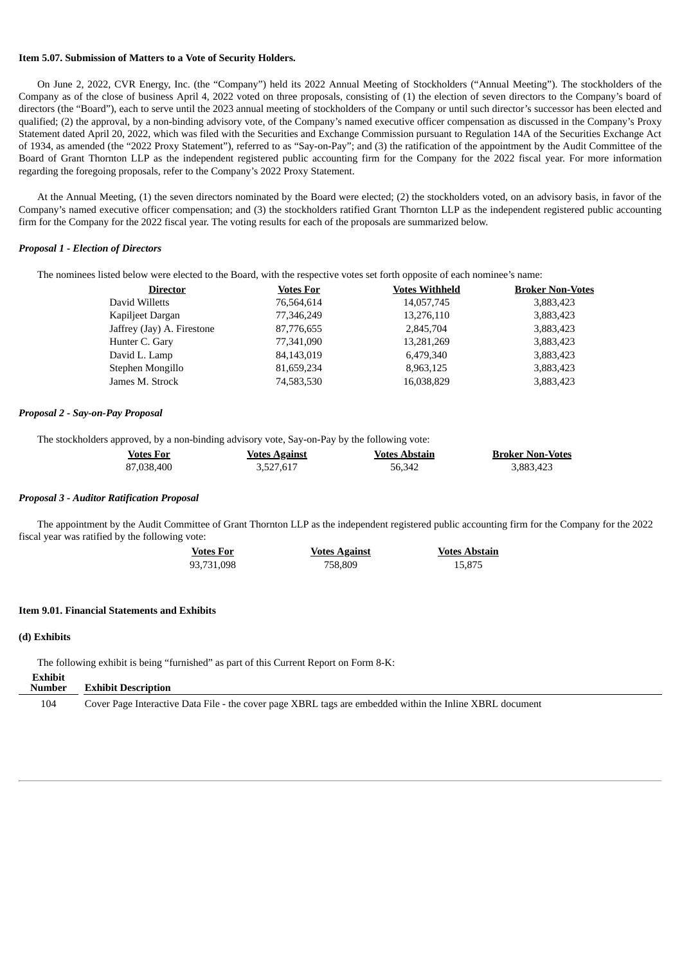### **Item 5.07. Submission of Matters to a Vote of Security Holders.**

On June 2, 2022, CVR Energy, Inc. (the "Company") held its 2022 Annual Meeting of Stockholders ("Annual Meeting"). The stockholders of the Company as of the close of business April 4, 2022 voted on three proposals, consisting of (1) the election of seven directors to the Company's board of directors (the "Board"), each to serve until the 2023 annual meeting of stockholders of the Company or until such director's successor has been elected and qualified; (2) the approval, by a non-binding advisory vote, of the Company's named executive officer compensation as discussed in the Company's Proxy Statement dated April 20, 2022, which was filed with the Securities and Exchange Commission pursuant to Regulation 14A of the Securities Exchange Act of 1934, as amended (the "2022 Proxy Statement"), referred to as "Say-on-Pay"; and (3) the ratification of the appointment by the Audit Committee of the Board of Grant Thornton LLP as the independent registered public accounting firm for the Company for the 2022 fiscal year. For more information regarding the foregoing proposals, refer to the Company's 2022 Proxy Statement.

At the Annual Meeting, (1) the seven directors nominated by the Board were elected; (2) the stockholders voted, on an advisory basis, in favor of the Company's named executive officer compensation; and (3) the stockholders ratified Grant Thornton LLP as the independent registered public accounting firm for the Company for the 2022 fiscal year. The voting results for each of the proposals are summarized below.

### *Proposal 1 - Election of Directors*

The nominees listed below were elected to the Board, with the respective votes set forth opposite of each nominee's name:

| <b>Director</b>            | <b>Votes For</b> | <b>Votes Withheld</b> | <b>Broker Non-Votes</b> |
|----------------------------|------------------|-----------------------|-------------------------|
| David Willetts             | 76,564,614       | 14,057,745            | 3,883,423               |
| Kapiljeet Dargan           | 77,346,249       | 13,276,110            | 3,883,423               |
| Jaffrey (Jay) A. Firestone | 87,776,655       | 2,845,704             | 3,883,423               |
| Hunter C. Gary             | 77,341,090       | 13,281,269            | 3,883,423               |
| David L. Lamp              | 84,143,019       | 6,479,340             | 3,883,423               |
| Stephen Mongillo           | 81,659,234       | 8,963,125             | 3,883,423               |
| James M. Strock            | 74,583,530       | 16,038,829            | 3,883,423               |

#### *Proposal 2 - Say-on-Pay Proposal*

The stockholders approved, by a non-binding advisory vote, Say-on-Pay by the following vote:

| Votes For  | <u>Votes Against</u> | <b>Votes Abstain</b> | <b>Broker Non-Votes</b> |
|------------|----------------------|----------------------|-------------------------|
| 87,038,400 | 3,527,617            | 56,342               | 3,883,423               |

#### *Proposal 3 - Auditor Ratification Proposal*

The appointment by the Audit Committee of Grant Thornton LLP as the independent registered public accounting firm for the Company for the 2022 fiscal year was ratified by the following vote:

| Votes For  | <u>Votes Against</u> | <b>Votes Abstain</b> |
|------------|----------------------|----------------------|
| 93,731,098 | 758.809              | 15.875               |

#### **Item 9.01. Financial Statements and Exhibits**

### **(d) Exhibits**

|                | The following exhibit is being "furnished" as part of this Current Report on Form 8-K:                   |
|----------------|----------------------------------------------------------------------------------------------------------|
| <b>Exhibit</b> |                                                                                                          |
| <b>Number</b>  | <b>Exhibit Description</b>                                                                               |
| 104            | Cover Page Interactive Data File - the cover page XBRL tags are embedded within the Inline XBRL document |